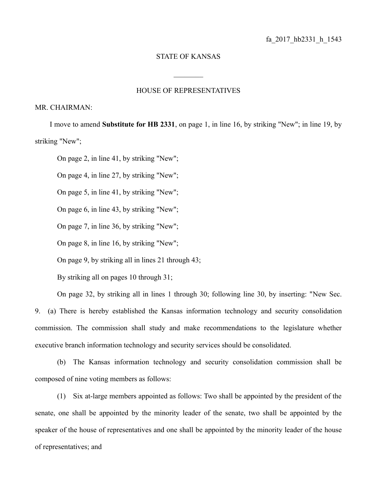## STATE OF KANSAS

 $\frac{1}{2}$ 

## HOUSE OF REPRESENTATIVES

## MR. CHAIRMAN:

I move to amend **Substitute for HB 2331**, on page 1, in line 16, by striking "New"; in line 19, by striking "New";

On page 2, in line 41, by striking "New";

On page 4, in line 27, by striking "New";

On page 5, in line 41, by striking "New";

On page 6, in line 43, by striking "New";

On page 7, in line 36, by striking "New";

On page 8, in line 16, by striking "New";

On page 9, by striking all in lines 21 through 43;

By striking all on pages 10 through 31;

On page 32, by striking all in lines 1 through 30; following line 30, by inserting: "New Sec. 9. (a) There is hereby established the Kansas information technology and security consolidation commission. The commission shall study and make recommendations to the legislature whether executive branch information technology and security services should be consolidated.

(b) The Kansas information technology and security consolidation commission shall be composed of nine voting members as follows:

(1) Six at-large members appointed as follows: Two shall be appointed by the president of the senate, one shall be appointed by the minority leader of the senate, two shall be appointed by the speaker of the house of representatives and one shall be appointed by the minority leader of the house of representatives; and